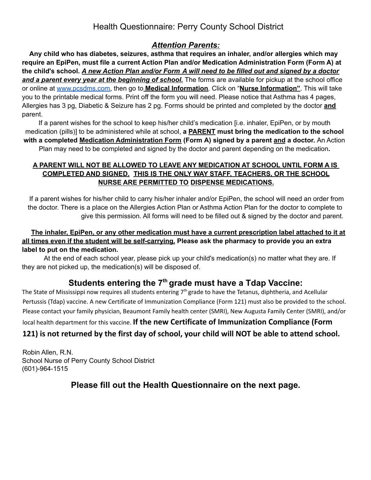# Health Questionnaire: Perry County School District

### *Attention Parents:*

**Any child who has diabetes, seizures, asthma that requires an inhaler, and/or allergies which may require an EpiPen, must file a current Action Plan and/or Medication Administration Form (Form A) at** the child's school. A new Action Plan and/or Form A will need to be filled out and signed by a doctor *and a parent every year at the beginning of school.* The forms are available for pickup at the school office or online at [www.pcsdms.com,](http://www.pcsdms.com) then go to **Medical Information**. Click on "**Nurse Information"**. This will take you to the printable medical forms. Print off the form you will need. Please notice that Asthma has 4 pages, Allergies has 3 pg, Diabetic & Seizure has 2 pg. Forms should be printed and completed by the doctor **and** parent.

If a parent wishes for the school to keep his/her child's medication [i.e. inhaler, EpiPen, or by mouth medication (pills)] to be administered while at school, **a PARENT must bring the medication to the school with a completed Medication Administration Form (Form A) signed by a parent and a doctor.** An Action

Plan may need to be completed and signed by the doctor and parent depending on the medication**.**

### **A PARENT WILL NOT BE ALLOWED TO LEAVE ANY MEDICATION AT SCHOOL UNTIL FORM A IS COMPLETED AND SIGNED. THIS IS THE ONLY WAY STAFF, TEACHERS, OR THE SCHOOL NURSE ARE PERMITTED TO DISPENSE MEDICATIONS.**

If a parent wishes for his/her child to carry his/her inhaler and/or EpiPen, the school will need an order from the doctor. There is a place on the Allergies Action Plan or Asthma Action Plan for the doctor to complete to give this permission. All forms will need to be filled out & signed by the doctor and parent.

#### **The inhaler, EpiPen, or any other medication must have a current prescription label attached to it at** all times even if the student will be self-carrying. Please ask the pharmacy to provide you an extra **label to put on the medication.**

At the end of each school year, please pick up your child's medication(s) no matter what they are. If they are not picked up, the medication(s) will be disposed of.

# **Students entering the 7 th grade must have a Tdap Vaccine:**

The State of Mississippi now requires all students entering  $7<sup>th</sup>$  grade to have the Tetanus, diphtheria, and Acellular Pertussis (Tdap) vaccine. A new Certificate of Immunization Compliance (Form 121) must also be provided to the school. Please contact your family physician, Beaumont Family health center (SMRI), New Augusta Family Center (SMRI), and/or local health department for this vaccine. **If the new Certificate of Immunization Compliance (Form**

## 121) is not returned by the first day of school, your child will NOT be able to attend school.

Robin Allen, R.N. School Nurse of Perry County School District (601)-964-1515

## **Please fill out the Health Questionnaire on the next page.**